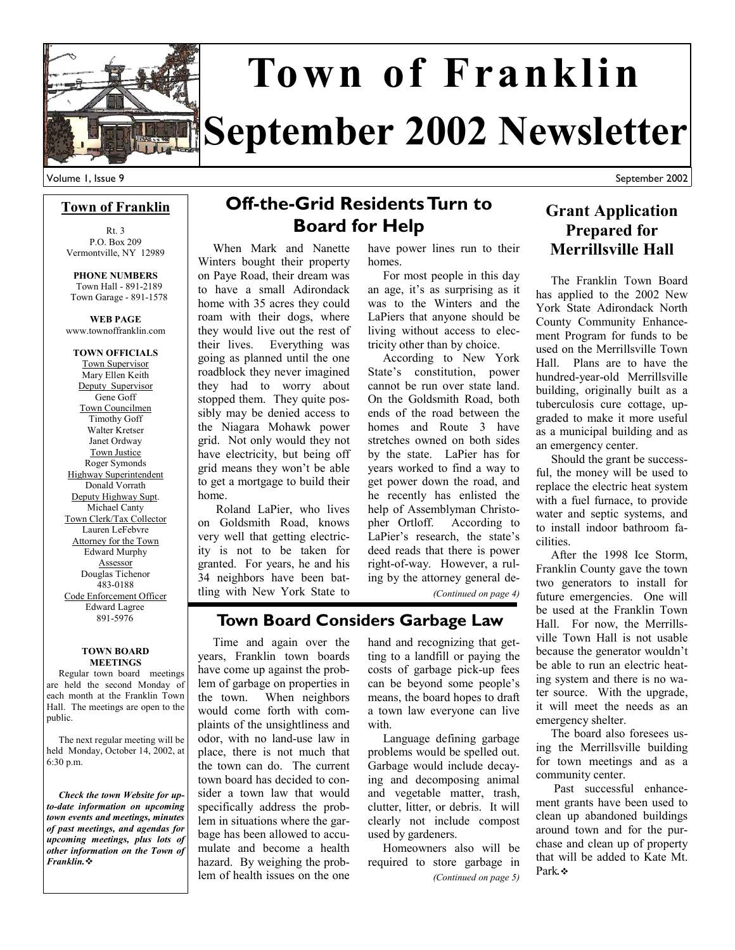

# **September 2002 Newsletter Town of Franklin**

September 2002

#### **Town of Franklin**

Rt. 3 P.O. Box 209 Vermontville, NY 12989

**PHONE NUMBERS**  Town Hall - 891-2189 Town Garage - 891-1578

**WEB PAGE**  www.townoffranklin.com

**TOWN OFFICIALS**  Town Supervisor Mary Ellen Keith Deputy Supervisor Gene Goff Town Councilmen Timothy Goff Walter Kretser Janet Ordway Town Justice Roger Symonds Highway Superintendent Donald Vorrath Deputy Highway Supt. Michael Canty Town Clerk/Tax Collector Lauren LeFebvre Attorney for the Town Edward Murphy Assessor Douglas Tichenor 483-0188 Code Enforcement Officer Edward Lagree 891-5976

#### **TOWN BOARD MEETINGS**

 Regular town board meetings are held the second Monday of each month at the Franklin Town Hall. The meetings are open to the public.

 The next regular meeting will be held Monday, October 14, 2002, at 6:30 p.m.

 *Check the town Website for upto-date information on upcoming town events and meetings, minutes of past meetings, and agendas for upcoming meetings, plus lots of other information on the Town of Franklin.*

### **Off-the-Grid Residents Turn to Board for Help**

 When Mark and Nanette Winters bought their property on Paye Road, their dream was to have a small Adirondack home with 35 acres they could roam with their dogs, where they would live out the rest of their lives. Everything was going as planned until the one roadblock they never imagined they had to worry about stopped them. They quite possibly may be denied access to the Niagara Mohawk power grid. Not only would they not have electricity, but being off grid means they won't be able to get a mortgage to build their home.

 Roland LaPier, who lives on Goldsmith Road, knows very well that getting electricity is not to be taken for granted. For years, he and his 34 neighbors have been battling with New York State to

have power lines run to their homes.

 For most people in this day an age, it's as surprising as it was to the Winters and the LaPiers that anyone should be living without access to electricity other than by choice.

 According to New York State's constitution, power cannot be run over state land. On the Goldsmith Road, both ends of the road between the homes and Route 3 have stretches owned on both sides by the state. LaPier has for years worked to find a way to get power down the road, and he recently has enlisted the help of Assemblyman Christopher Ortloff. According to LaPier's research, the state's deed reads that there is power right-of-way. However, a ruling by the attorney general de-

*(Continued on page 4)* 

### **Town Board Considers Garbage Law**

 Time and again over the years, Franklin town boards have come up against the problem of garbage on properties in the town. When neighbors would come forth with complaints of the unsightliness and odor, with no land-use law in place, there is not much that the town can do. The current town board has decided to consider a town law that would specifically address the problem in situations where the garbage has been allowed to accumulate and become a health hazard. By weighing the problem of health issues on the one

hand and recognizing that getting to a landfill or paying the costs of garbage pick-up fees can be beyond some people's means, the board hopes to draft a town law everyone can live with.

 Language defining garbage problems would be spelled out. Garbage would include decaying and decomposing animal and vegetable matter, trash, clutter, litter, or debris. It will clearly not include compost used by gardeners.

 Homeowners also will be required to store garbage in *(Continued on page 5)* 

### **Grant Application Prepared for Merrillsville Hall**

 The Franklin Town Board has applied to the 2002 New York State Adirondack North County Community Enhancement Program for funds to be used on the Merrillsville Town Hall. Plans are to have the hundred-year-old Merrillsville building, originally built as a tuberculosis cure cottage, upgraded to make it more useful as a municipal building and as an emergency center.

 Should the grant be successful, the money will be used to replace the electric heat system with a fuel furnace, to provide water and septic systems, and to install indoor bathroom facilities.

 After the 1998 Ice Storm, Franklin County gave the town two generators to install for future emergencies. One will be used at the Franklin Town Hall. For now, the Merrillsville Town Hall is not usable because the generator wouldn't be able to run an electric heating system and there is no water source. With the upgrade, it will meet the needs as an emergency shelter.

 The board also foresees using the Merrillsville building for town meetings and as a community center.

 Past successful enhancement grants have been used to clean up abandoned buildings around town and for the purchase and clean up of property that will be added to Kate Mt. Park*.*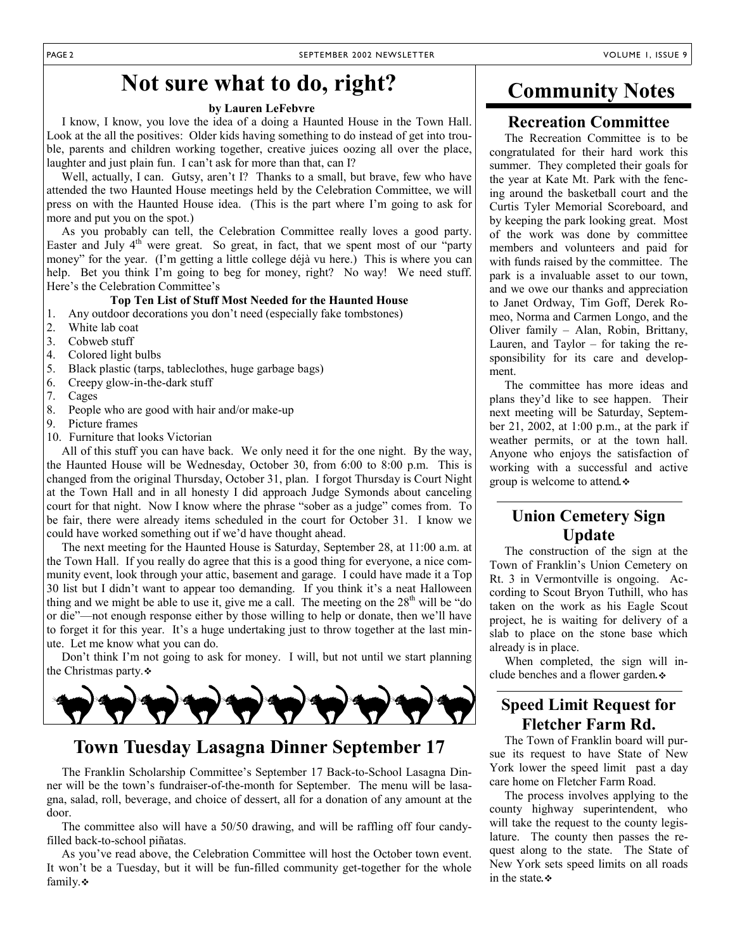### **Not sure what to do, right?**

#### **by Lauren LeFebvre**

 I know, I know, you love the idea of a doing a Haunted House in the Town Hall. Look at the all the positives: Older kids having something to do instead of get into trouble, parents and children working together, creative juices oozing all over the place, laughter and just plain fun. I can't ask for more than that, can I?

 Well, actually, I can. Gutsy, aren't I? Thanks to a small, but brave, few who have attended the two Haunted House meetings held by the Celebration Committee, we will press on with the Haunted House idea. (This is the part where I'm going to ask for more and put you on the spot.)

 As you probably can tell, the Celebration Committee really loves a good party. Easter and July  $4<sup>th</sup>$  were great. So great, in fact, that we spent most of our "party money" for the year. (I'm getting a little college déjà vu here.) This is where you can help. Bet you think I'm going to beg for money, right? No way! We need stuff. Here's the Celebration Committee's

#### **Top Ten List of Stuff Most Needed for the Haunted House**

- 1. Any outdoor decorations you don't need (especially fake tombstones)
- 2. White lab coat
- 3. Cobweb stuff
- 4. Colored light bulbs
- 5. Black plastic (tarps, tableclothes, huge garbage bags)
- 6. Creepy glow-in-the-dark stuff
- 7. Cages
- 8. People who are good with hair and/or make-up
- 9. Picture frames
- 10. Furniture that looks Victorian

 All of this stuff you can have back. We only need it for the one night. By the way, the Haunted House will be Wednesday, October 30, from 6:00 to 8:00 p.m. This is changed from the original Thursday, October 31, plan. I forgot Thursday is Court Night at the Town Hall and in all honesty I did approach Judge Symonds about canceling court for that night. Now I know where the phrase "sober as a judge" comes from. To be fair, there were already items scheduled in the court for October 31. I know we could have worked something out if we'd have thought ahead.

 The next meeting for the Haunted House is Saturday, September 28, at 11:00 a.m. at the Town Hall. If you really do agree that this is a good thing for everyone, a nice community event, look through your attic, basement and garage. I could have made it a Top 30 list but I didn't want to appear too demanding. If you think it's a neat Halloween thing and we might be able to use it, give me a call. The meeting on the  $28<sup>th</sup>$  will be "do or die"—not enough response either by those willing to help or donate, then we'll have to forget it for this year. It's a huge undertaking just to throw together at the last minute. Let me know what you can do.

 Don't think I'm not going to ask for money. I will, but not until we start planning the Christmas party.



### **Town Tuesday Lasagna Dinner September 17**

 The Franklin Scholarship Committee's September 17 Back-to-School Lasagna Dinner will be the town's fundraiser-of-the-month for September. The menu will be lasagna, salad, roll, beverage, and choice of dessert, all for a donation of any amount at the door.

 The committee also will have a 50/50 drawing, and will be raffling off four candyfilled back-to-school piñatas.

 As you've read above, the Celebration Committee will host the October town event. It won't be a Tuesday, but it will be fun-filled community get-together for the whole family. $\cdot$ 

### **Community Notes**

### **Recreation Committee**

 The Recreation Committee is to be congratulated for their hard work this summer. They completed their goals for the year at Kate Mt. Park with the fencing around the basketball court and the Curtis Tyler Memorial Scoreboard, and by keeping the park looking great. Most of the work was done by committee members and volunteers and paid for with funds raised by the committee. The park is a invaluable asset to our town, and we owe our thanks and appreciation to Janet Ordway, Tim Goff, Derek Romeo, Norma and Carmen Longo, and the Oliver family – Alan, Robin, Brittany, Lauren, and Taylor – for taking the responsibility for its care and development.

 The committee has more ideas and plans they'd like to see happen. Their next meeting will be Saturday, September 21, 2002, at 1:00 p.m., at the park if weather permits, or at the town hall. Anyone who enjoys the satisfaction of working with a successful and active group is welcome to attend*.*

### **Union Cemetery Sign Update**

 The construction of the sign at the Town of Franklin's Union Cemetery on Rt. 3 in Vermontville is ongoing. According to Scout Bryon Tuthill, who has taken on the work as his Eagle Scout project, he is waiting for delivery of a slab to place on the stone base which already is in place.

 When completed, the sign will include benches and a flower garden*.*

### **Speed Limit Request for Fletcher Farm Rd.**

 The Town of Franklin board will pursue its request to have State of New York lower the speed limit past a day care home on Fletcher Farm Road.

 The process involves applying to the county highway superintendent, who will take the request to the county legislature. The county then passes the request along to the state. The State of New York sets speed limits on all roads in the state*.*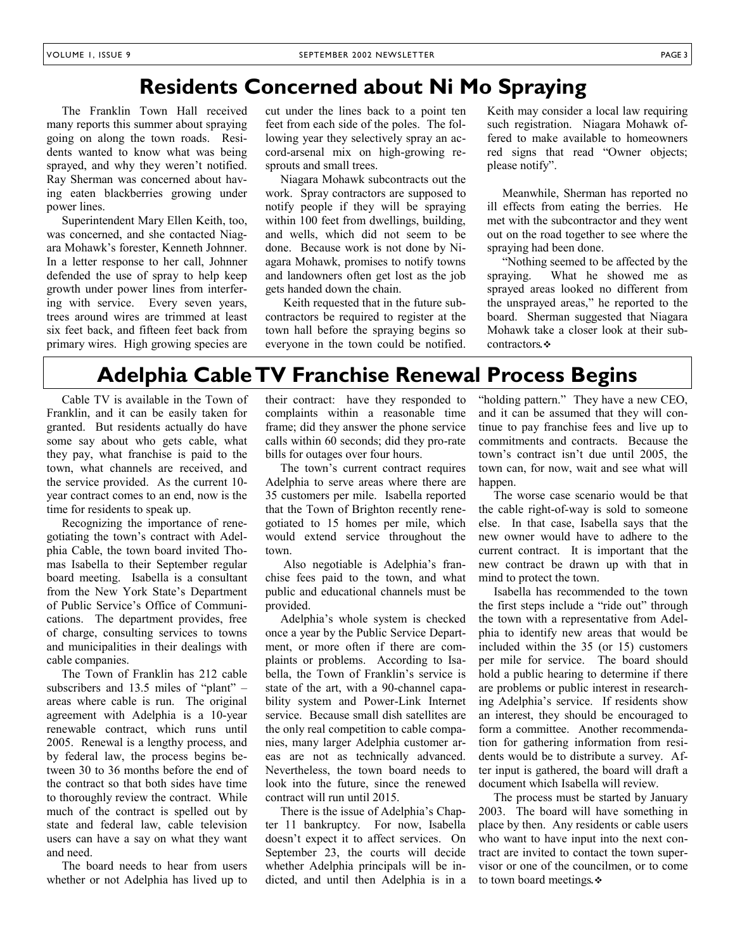### **Residents Concerned about Ni Mo Spraying**

 The Franklin Town Hall received many reports this summer about spraying going on along the town roads. Residents wanted to know what was being sprayed, and why they weren't notified. Ray Sherman was concerned about having eaten blackberries growing under power lines.

 Superintendent Mary Ellen Keith, too, was concerned, and she contacted Niagara Mohawk's forester, Kenneth Johnner. In a letter response to her call, Johnner defended the use of spray to help keep growth under power lines from interfering with service. Every seven years, trees around wires are trimmed at least six feet back, and fifteen feet back from primary wires. High growing species are cut under the lines back to a point ten feet from each side of the poles. The following year they selectively spray an accord-arsenal mix on high-growing resprouts and small trees.

 Niagara Mohawk subcontracts out the work. Spray contractors are supposed to notify people if they will be spraying within 100 feet from dwellings, building, and wells, which did not seem to be done. Because work is not done by Niagara Mohawk, promises to notify towns and landowners often get lost as the job gets handed down the chain.

 Keith requested that in the future subcontractors be required to register at the town hall before the spraying begins so everyone in the town could be notified.

Keith may consider a local law requiring such registration. Niagara Mohawk offered to make available to homeowners red signs that read "Owner objects; please notify".

 Meanwhile, Sherman has reported no ill effects from eating the berries. He met with the subcontractor and they went out on the road together to see where the spraying had been done.

 "Nothing seemed to be affected by the spraying. What he showed me as sprayed areas looked no different from the unsprayed areas," he reported to the board. Sherman suggested that Niagara Mohawk take a closer look at their subcontractors*.*

### **Adelphia Cable TV Franchise Renewal Process Begins**

 Cable TV is available in the Town of Franklin, and it can be easily taken for granted. But residents actually do have some say about who gets cable, what they pay, what franchise is paid to the town, what channels are received, and the service provided. As the current 10 year contract comes to an end, now is the time for residents to speak up.

 Recognizing the importance of renegotiating the town's contract with Adelphia Cable, the town board invited Thomas Isabella to their September regular board meeting. Isabella is a consultant from the New York State's Department of Public Service's Office of Communications. The department provides, free of charge, consulting services to towns and municipalities in their dealings with cable companies.

 The Town of Franklin has 212 cable subscribers and 13.5 miles of "plant" – areas where cable is run. The original agreement with Adelphia is a 10-year renewable contract, which runs until 2005. Renewal is a lengthy process, and by federal law, the process begins between 30 to 36 months before the end of the contract so that both sides have time to thoroughly review the contract. While much of the contract is spelled out by state and federal law, cable television users can have a say on what they want and need.

 The board needs to hear from users whether or not Adelphia has lived up to their contract: have they responded to complaints within a reasonable time frame; did they answer the phone service calls within 60 seconds; did they pro-rate bills for outages over four hours.

 The town's current contract requires Adelphia to serve areas where there are 35 customers per mile. Isabella reported that the Town of Brighton recently renegotiated to 15 homes per mile, which would extend service throughout the town.

 Also negotiable is Adelphia's franchise fees paid to the town, and what public and educational channels must be provided.

 Adelphia's whole system is checked once a year by the Public Service Department, or more often if there are complaints or problems. According to Isabella, the Town of Franklin's service is state of the art, with a 90-channel capability system and Power-Link Internet service. Because small dish satellites are the only real competition to cable companies, many larger Adelphia customer areas are not as technically advanced. Nevertheless, the town board needs to look into the future, since the renewed contract will run until 2015.

 There is the issue of Adelphia's Chapter 11 bankruptcy. For now, Isabella doesn't expect it to affect services. On September 23, the courts will decide whether Adelphia principals will be indicted, and until then Adelphia is in a

"holding pattern." They have a new CEO, and it can be assumed that they will continue to pay franchise fees and live up to commitments and contracts. Because the town's contract isn't due until 2005, the town can, for now, wait and see what will happen.

 The worse case scenario would be that the cable right-of-way is sold to someone else. In that case, Isabella says that the new owner would have to adhere to the current contract. It is important that the new contract be drawn up with that in mind to protect the town.

 Isabella has recommended to the town the first steps include a "ride out" through the town with a representative from Adelphia to identify new areas that would be included within the 35 (or 15) customers per mile for service. The board should hold a public hearing to determine if there are problems or public interest in researching Adelphia's service. If residents show an interest, they should be encouraged to form a committee. Another recommendation for gathering information from residents would be to distribute a survey. After input is gathered, the board will draft a document which Isabella will review.

 The process must be started by January 2003. The board will have something in place by then. Any residents or cable users who want to have input into the next contract are invited to contact the town supervisor or one of the councilmen, or to come to town board meetings*.*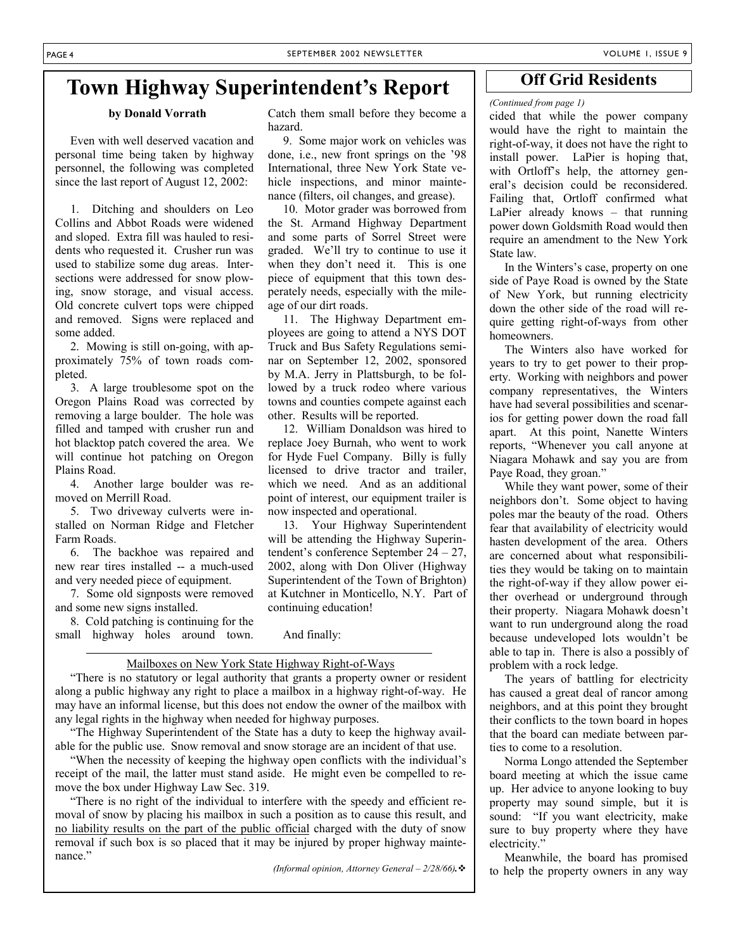Catch them small before they become a

 9. Some major work on vehicles was done, i.e., new front springs on the '98 International, three New York State vehicle inspections, and minor maintenance (filters, oil changes, and grease). 10. Motor grader was borrowed from the St. Armand Highway Department and some parts of Sorrel Street were graded. We'll try to continue to use it when they don't need it. This is one piece of equipment that this town desperately needs, especially with the mile-

 11. The Highway Department employees are going to attend a NYS DOT Truck and Bus Safety Regulations seminar on September 12, 2002, sponsored by M.A. Jerry in Plattsburgh, to be followed by a truck rodeo where various towns and counties compete against each

 12. William Donaldson was hired to replace Joey Burnah, who went to work for Hyde Fuel Company. Billy is fully licensed to drive tractor and trailer, which we need. And as an additional point of interest, our equipment trailer is

 13. Your Highway Superintendent will be attending the Highway Superintendent's conference September 24 – 27, 2002, along with Don Oliver (Highway Superintendent of the Town of Brighton) at Kutchner in Monticello, N.Y. Part of

### **Town Highway Superintendent's Report**

hazard.

age of our dirt roads.

other. Results will be reported.

now inspected and operational.

#### **by Donald Vorrath**

 Even with well deserved vacation and personal time being taken by highway personnel, the following was completed since the last report of August 12, 2002:

 1. Ditching and shoulders on Leo Collins and Abbot Roads were widened and sloped. Extra fill was hauled to residents who requested it. Crusher run was used to stabilize some dug areas. Intersections were addressed for snow plowing, snow storage, and visual access. Old concrete culvert tops were chipped and removed. Signs were replaced and some added.

 2. Mowing is still on-going, with approximately 75% of town roads completed.

 3. A large troublesome spot on the Oregon Plains Road was corrected by removing a large boulder. The hole was filled and tamped with crusher run and hot blacktop patch covered the area. We will continue hot patching on Oregon Plains Road.

 4. Another large boulder was removed on Merrill Road.

 5. Two driveway culverts were installed on Norman Ridge and Fletcher Farm Roads.

 6. The backhoe was repaired and new rear tires installed -- a much-used and very needed piece of equipment.

 7. Some old signposts were removed and some new signs installed.

 8. Cold patching is continuing for the small highway holes around town.

And finally:

continuing education!

#### Mailboxes on New York State Highway Right-of-Ways

 "There is no statutory or legal authority that grants a property owner or resident along a public highway any right to place a mailbox in a highway right-of-way. He may have an informal license, but this does not endow the owner of the mailbox with any legal rights in the highway when needed for highway purposes.

 "The Highway Superintendent of the State has a duty to keep the highway available for the public use. Snow removal and snow storage are an incident of that use.

 "When the necessity of keeping the highway open conflicts with the individual's receipt of the mail, the latter must stand aside. He might even be compelled to remove the box under Highway Law Sec. 319.

 "There is no right of the individual to interfere with the speedy and efficient removal of snow by placing his mailbox in such a position as to cause this result, and no liability results on the part of the public official charged with the duty of snow removal if such box is so placed that it may be injured by proper highway maintenance<sup>"</sup>

*(Informal opinion, Attorney General – 2/28/66).*

### **Off Grid Residents**

#### *(Continued from page 1)*

cided that while the power company would have the right to maintain the right-of-way, it does not have the right to install power. LaPier is hoping that, with Ortloff's help, the attorney general's decision could be reconsidered. Failing that, Ortloff confirmed what LaPier already knows – that running power down Goldsmith Road would then require an amendment to the New York State law.

 In the Winters's case, property on one side of Paye Road is owned by the State of New York, but running electricity down the other side of the road will require getting right-of-ways from other homeowners.

 The Winters also have worked for years to try to get power to their property. Working with neighbors and power company representatives, the Winters have had several possibilities and scenarios for getting power down the road fall apart. At this point, Nanette Winters reports, "Whenever you call anyone at Niagara Mohawk and say you are from Paye Road, they groan."

 While they want power, some of their neighbors don't. Some object to having poles mar the beauty of the road. Others fear that availability of electricity would hasten development of the area. Others are concerned about what responsibilities they would be taking on to maintain the right-of-way if they allow power either overhead or underground through their property. Niagara Mohawk doesn't want to run underground along the road because undeveloped lots wouldn't be able to tap in. There is also a possibly of problem with a rock ledge.

 The years of battling for electricity has caused a great deal of rancor among neighbors, and at this point they brought their conflicts to the town board in hopes that the board can mediate between parties to come to a resolution.

 Norma Longo attended the September board meeting at which the issue came up. Her advice to anyone looking to buy property may sound simple, but it is sound: "If you want electricity, make sure to buy property where they have electricity."

 Meanwhile, the board has promised to help the property owners in any way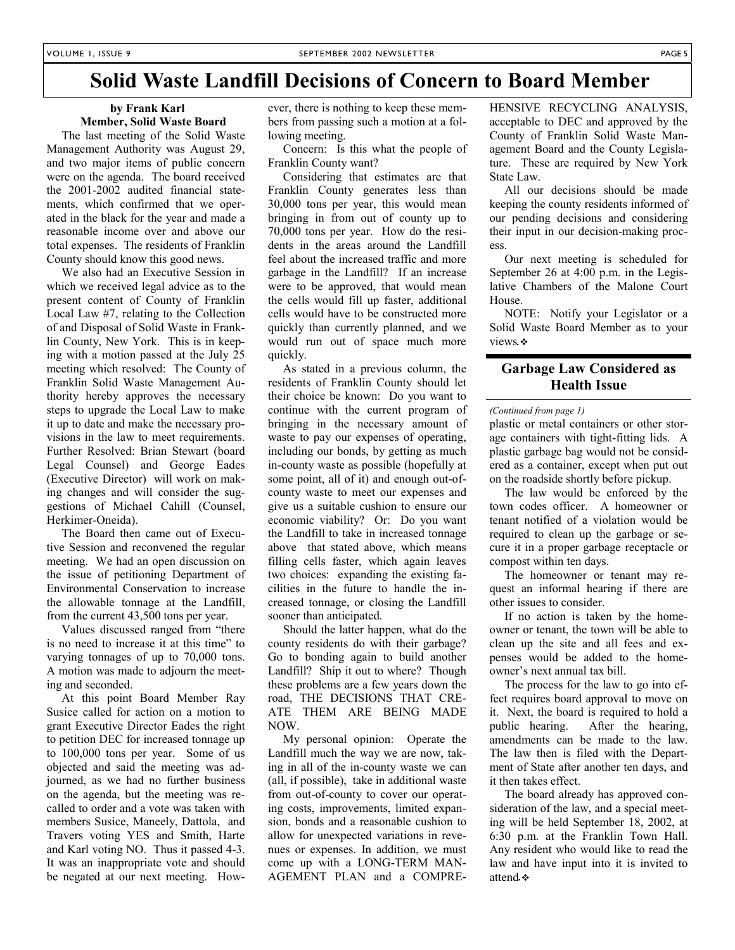### **Solid Waste Landfill Decisions of Concern to Board Member**

#### **by Frank Karl Member, Solid Waste Board**

 The last meeting of the Solid Waste Management Authority was August 29, and two major items of public concern were on the agenda. The board received the 2001-2002 audited financial statements, which confirmed that we operated in the black for the year and made a reasonable income over and above our total expenses. The residents of Franklin County should know this good news.

 We also had an Executive Session in which we received legal advice as to the present content of County of Franklin Local Law #7, relating to the Collection of and Disposal of Solid Waste in Franklin County, New York. This is in keeping with a motion passed at the July 25 meeting which resolved: The County of Franklin Solid Waste Management Authority hereby approves the necessary steps to upgrade the Local Law to make it up to date and make the necessary provisions in the law to meet requirements. Further Resolved: Brian Stewart (board Legal Counsel) and George Eades (Executive Director) will work on making changes and will consider the suggestions of Michael Cahill (Counsel, Herkimer-Oneida).

 The Board then came out of Executive Session and reconvened the regular meeting. We had an open discussion on the issue of petitioning Department of Environmental Conservation to increase the allowable tonnage at the Landfill, from the current 43,500 tons per year.

 Values discussed ranged from "there is no need to increase it at this time" to varying tonnages of up to 70,000 tons. A motion was made to adjourn the meeting and seconded.

 At this point Board Member Ray Susice called for action on a motion to grant Executive Director Eades the right to petition DEC for increased tonnage up to 100,000 tons per year. Some of us objected and said the meeting was adjourned, as we had no further business on the agenda, but the meeting was recalled to order and a vote was taken with members Susice, Maneely, Dattola, and Travers voting YES and Smith, Harte and Karl voting NO. Thus it passed 4-3. It was an inappropriate vote and should be negated at our next meeting. However, there is nothing to keep these members from passing such a motion at a following meeting.

 Concern: Is this what the people of Franklin County want?

 Considering that estimates are that Franklin County generates less than 30,000 tons per year, this would mean bringing in from out of county up to 70,000 tons per year. How do the residents in the areas around the Landfill feel about the increased traffic and more garbage in the Landfill? If an increase were to be approved, that would mean the cells would fill up faster, additional cells would have to be constructed more quickly than currently planned, and we would run out of space much more quickly.

 As stated in a previous column, the residents of Franklin County should let their choice be known: Do you want to continue with the current program of bringing in the necessary amount of waste to pay our expenses of operating, including our bonds, by getting as much in-county waste as possible (hopefully at some point, all of it) and enough out-ofcounty waste to meet our expenses and give us a suitable cushion to ensure our economic viability? Or: Do you want the Landfill to take in increased tonnage above that stated above, which means filling cells faster, which again leaves two choices: expanding the existing facilities in the future to handle the increased tonnage, or closing the Landfill sooner than anticipated.

 Should the latter happen, what do the county residents do with their garbage? Go to bonding again to build another Landfill? Ship it out to where? Though these problems are a few years down the road, THE DECISIONS THAT CRE-ATE THEM ARE BEING MADE NOW.

 My personal opinion: Operate the Landfill much the way we are now, taking in all of the in-county waste we can (all, if possible), take in additional waste from out-of-county to cover our operating costs, improvements, limited expansion, bonds and a reasonable cushion to allow for unexpected variations in revenues or expenses. In addition, we must come up with a LONG-TERM MAN-AGEMENT PLAN and a COMPRE- HENSIVE RECYCLING ANALYSIS, acceptable to DEC and approved by the County of Franklin Solid Waste Management Board and the County Legislature. These are required by New York State Law.

 All our decisions should be made keeping the county residents informed of our pending decisions and considering their input in our decision-making process.

 Our next meeting is scheduled for September 26 at 4:00 p.m. in the Legislative Chambers of the Malone Court House.

 NOTE: Notify your Legislator or a Solid Waste Board Member as to your views*.*

### **Garbage Law Considered as Health Issue**

#### *(Continued from page 1)*

plastic or metal containers or other storage containers with tight-fitting lids. A plastic garbage bag would not be considered as a container, except when put out on the roadside shortly before pickup.

 The law would be enforced by the town codes officer. A homeowner or tenant notified of a violation would be required to clean up the garbage or secure it in a proper garbage receptacle or compost within ten days.

 The homeowner or tenant may request an informal hearing if there are other issues to consider.

 If no action is taken by the homeowner or tenant, the town will be able to clean up the site and all fees and expenses would be added to the homeowner's next annual tax bill.

 The process for the law to go into effect requires board approval to move on it. Next, the board is required to hold a public hearing. After the hearing, amendments can be made to the law. The law then is filed with the Department of State after another ten days, and it then takes effect.

 The board already has approved consideration of the law, and a special meeting will be held September 18, 2002, at 6:30 p.m. at the Franklin Town Hall. Any resident who would like to read the law and have input into it is invited to attend*.*